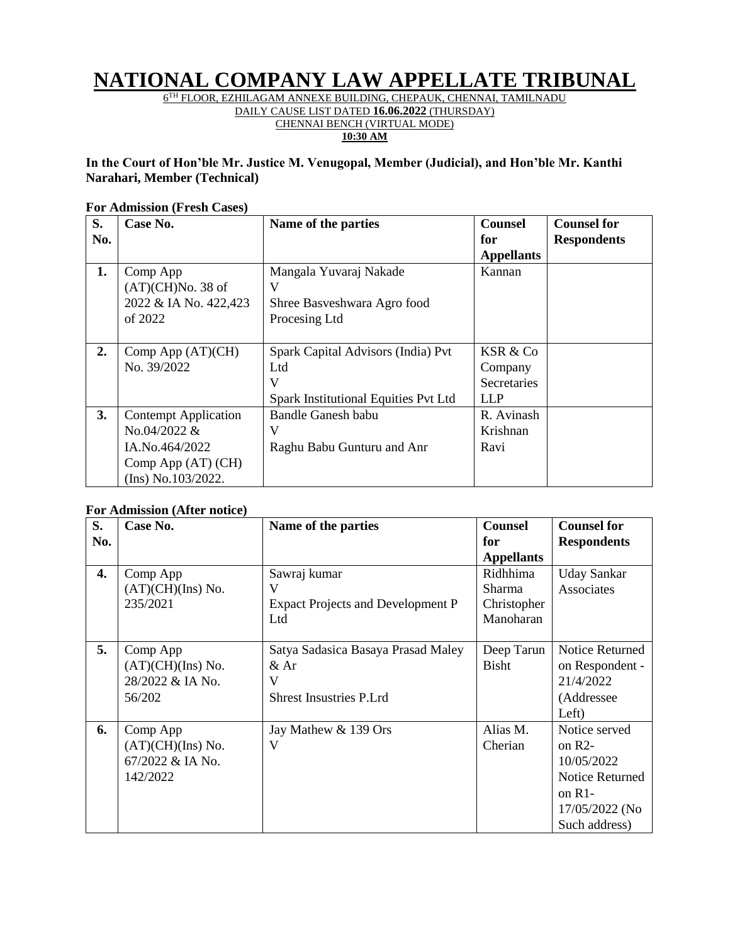# **NATIONAL COMPANY LAW APPELLATE TRIBUNAL**

 $6^{\rm TH}$  FLOOR, EZHILAGAM ANNEXE BUILDING, CHEPAUK, CHENNAI, TAMILNADU

DAILY CAUSE LIST DATED **16.06.2022** (THURSDAY) CHENNAI BENCH (VIRTUAL MODE)

**10:30 AM**

#### **In the Court of Hon'ble Mr. Justice M. Venugopal, Member (Judicial), and Hon'ble Mr. Kanthi Narahari, Member (Technical)**

#### **For Admission (Fresh Cases)**

| S.  | Case No.                    | Name of the parties                         | <b>Counsel</b>    | <b>Counsel for</b> |
|-----|-----------------------------|---------------------------------------------|-------------------|--------------------|
| No. |                             |                                             | for               | <b>Respondents</b> |
|     |                             |                                             | <b>Appellants</b> |                    |
| 1.  | Comp App                    | Mangala Yuvaraj Nakade                      | Kannan            |                    |
|     | (AT)(CH)No. 38 of           | V                                           |                   |                    |
|     | 2022 & IA No. 422,423       | Shree Basveshwara Agro food                 |                   |                    |
|     | of $2022$                   | Procesing Ltd                               |                   |                    |
|     |                             |                                             |                   |                    |
| 2.  | Comp App $(AT)(CH)$         | Spark Capital Advisors (India) Pvt          | KSR & Co          |                    |
|     | No. 39/2022                 | Ltd                                         | Company           |                    |
|     |                             | V                                           | Secretaries       |                    |
|     |                             | <b>Spark Institutional Equities Pvt Ltd</b> | <b>LLP</b>        |                    |
| 3.  | <b>Contempt Application</b> | Bandle Ganesh babu                          | R. Avinash        |                    |
|     | No.04/2022 &                | V                                           | Krishnan          |                    |
|     | IA.No.464/2022              | Raghu Babu Gunturu and Anr                  | Ravi              |                    |
|     | Comp App (AT) (CH)          |                                             |                   |                    |
|     | (Ins) No.103/2022.          |                                             |                   |                    |

#### **For Admission (After notice)**

| S.  | Case No.            | Name of the parties                      | <b>Counsel</b>    | <b>Counsel for</b>     |
|-----|---------------------|------------------------------------------|-------------------|------------------------|
| No. |                     |                                          | for               | <b>Respondents</b>     |
|     |                     |                                          | <b>Appellants</b> |                        |
| 4.  | Comp App            | Sawraj kumar                             | Ridhhima          | <b>Uday Sankar</b>     |
|     | (AT)(CH)(Ins) No.   | V                                        | Sharma            | Associates             |
|     | 235/2021            | <b>Expact Projects and Development P</b> | Christopher       |                        |
|     |                     | Ltd                                      | Manoharan         |                        |
|     |                     |                                          |                   |                        |
| 5.  | Comp App            | Satya Sadasica Basaya Prasad Maley       | Deep Tarun        | <b>Notice Returned</b> |
|     | (AT)(CH)(Ins) No.   | $&$ Ar                                   | <b>Bisht</b>      | on Respondent -        |
|     | 28/2022 & IA No.    | V                                        |                   | 21/4/2022              |
|     | 56/202              | <b>Shrest Insustries P.Lrd</b>           |                   | (Addressee             |
|     |                     |                                          |                   | Left)                  |
| 6.  | Comp App            | Jay Mathew & 139 Ors                     | Alias M.          | Notice served          |
|     | $(AT)(CH)(Ins)$ No. | V                                        | Cherian           | on $R2-$               |
|     | 67/2022 & IA No.    |                                          |                   | 10/05/2022             |
|     | 142/2022            |                                          |                   | <b>Notice Returned</b> |
|     |                     |                                          |                   | on $R1$ -              |
|     |                     |                                          |                   | 17/05/2022 (No         |
|     |                     |                                          |                   | Such address)          |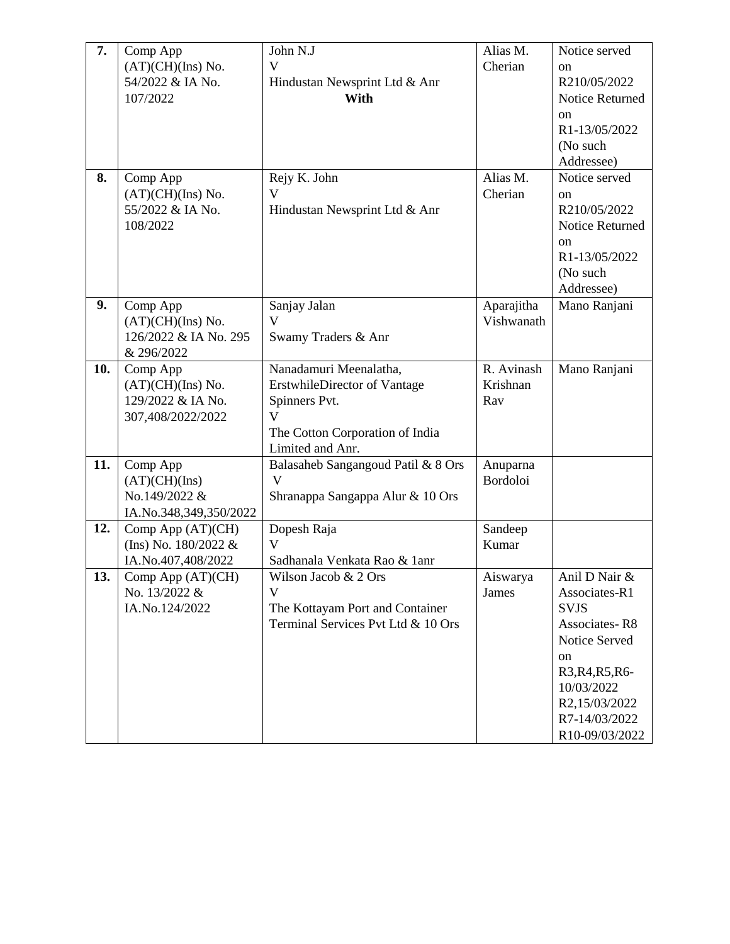| 7.  | Comp App                | John N.J                            | Alias M.        | Notice served          |
|-----|-------------------------|-------------------------------------|-----------------|------------------------|
|     | (AT)(CH)(Ins) No.       | V                                   | Cherian         | on                     |
|     | 54/2022 & IA No.        | Hindustan Newsprint Ltd & Anr       |                 | R210/05/2022           |
|     | 107/2022                | With                                |                 | <b>Notice Returned</b> |
|     |                         |                                     |                 | <sub>on</sub>          |
|     |                         |                                     |                 | R1-13/05/2022          |
|     |                         |                                     |                 |                        |
|     |                         |                                     |                 | (No such               |
|     |                         |                                     |                 | Addressee)             |
| 8.  | Comp App                | Rejy K. John                        | Alias M.        | Notice served          |
|     | (AT)(CH)(Ins) No.       | $\overline{\mathsf{V}}$             | Cherian         | on                     |
|     | 55/2022 & IA No.        | Hindustan Newsprint Ltd & Anr       |                 | R210/05/2022           |
|     | 108/2022                |                                     |                 | <b>Notice Returned</b> |
|     |                         |                                     |                 | on                     |
|     |                         |                                     |                 | R1-13/05/2022          |
|     |                         |                                     |                 | (No such               |
|     |                         |                                     |                 | Addressee)             |
|     |                         |                                     |                 |                        |
| 9.  | Comp App                | Sanjay Jalan                        | Aparajitha      | Mano Ranjani           |
|     | (AT)(CH)(Ins) No.       | V                                   | Vishwanath      |                        |
|     | 126/2022 & IA No. 295   | Swamy Traders & Anr                 |                 |                        |
|     | & 296/2022              |                                     |                 |                        |
| 10. | Comp App                | Nanadamuri Meenalatha,              | R. Avinash      | Mano Ranjani           |
|     | (AT)(CH)(Ins) No.       | <b>ErstwhileDirector of Vantage</b> | Krishnan        |                        |
|     | 129/2022 & IA No.       | Spinners Pvt.                       | Rav             |                        |
|     | 307,408/2022/2022       | $\mathbf{V}$                        |                 |                        |
|     |                         | The Cotton Corporation of India     |                 |                        |
|     |                         | Limited and Anr.                    |                 |                        |
| 11. | Comp App                | Balasaheb Sangangoud Patil & 8 Ors  | Anuparna        |                        |
|     | (AT)(CH)(Ins)           | $\mathbf V$                         | <b>Bordoloi</b> |                        |
|     | No.149/2022 &           | Shranappa Sangappa Alur & 10 Ors    |                 |                        |
|     |                         |                                     |                 |                        |
|     | IA.No.348,349,350/2022  |                                     |                 |                        |
| 12. | Comp App (AT)(CH)       | Dopesh Raja                         | Sandeep         |                        |
|     | (Ins) No. $180/2022 \&$ | $\mathbf{V}$                        | Kumar           |                        |
|     | IA.No.407,408/2022      | Sadhanala Venkata Rao & 1anr        |                 |                        |
| 13. | Comp App $(AT)(CH)$     | Wilson Jacob & 2 Ors                | Aiswarya        | Anil D Nair &          |
|     | No. 13/2022 &           | V                                   | James           | Associates-R1          |
|     | IA.No.124/2022          | The Kottayam Port and Container     |                 | <b>SVJS</b>            |
|     |                         | Terminal Services Pvt Ltd & 10 Ors  |                 | <b>Associates-R8</b>   |
|     |                         |                                     |                 | Notice Served          |
|     |                         |                                     |                 | on                     |
|     |                         |                                     |                 | R3, R4, R5, R6-        |
|     |                         |                                     |                 | 10/03/2022             |
|     |                         |                                     |                 | R2,15/03/2022          |
|     |                         |                                     |                 |                        |
|     |                         |                                     |                 | R7-14/03/2022          |
|     |                         |                                     |                 | R10-09/03/2022         |